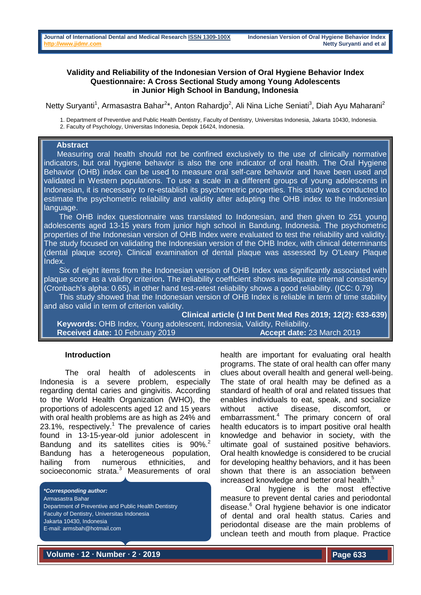### **Validity and Reliability of the Indonesian Version of Oral Hygiene Behavior Index Questionnaire: A Cross Sectional Study among Young Adolescents in Junior High School in Bandung, Indonesia**

Netty Suryanti<sup>1</sup>, Armasastra Bahar<sup>2\*</sup>, Anton Rahardjo<sup>2</sup>, Ali Nina Liche Seniati<sup>3</sup>, Diah Ayu Maharani<sup>2</sup>

1. Department of Preventive and Public Health Dentistry, Faculty of Dentistry, Universitas Indonesia, Jakarta 10430, Indonesia. 2. Faculty of Psychology, Universitas Indonesia, Depok 16424, Indonesia.

#### **Abstract**

 Measuring oral health should not be confined exclusively to the use of clinically normative indicators, but oral hygiene behavior is also the one indicator of oral health. The Oral Hygiene Behavior (OHB) index can be used to measure oral self-care behavior and have been used and validated in Western populations. To use a scale in a different groups of young adolescents in Indonesian, it is necessary to re-establish its psychometric properties. This study was conducted to estimate the psychometric reliability and validity after adapting the OHB index to the Indonesian language.

 The OHB index questionnaire was translated to Indonesian, and then given to 251 young adolescents aged 13-15 years from junior high school in Bandung, Indonesia. The psychometric properties of the Indonesian version of OHB Index were evaluated to test the reliability and validity. The study focused on validating the Indonesian version of the OHB Index, with clinical determinants (dental plaque score). Clinical examination of dental plaque was assessed by O'Leary Plaque Index.

 Six of eight items from the Indonesian version of OHB Index was significantly associated with plaque score as a validity criterion**.** The reliability coefficient shows inadequate internal consistency (Cronbach's alpha: 0.65), in other hand test-retest reliability shows a good reliability. (ICC: 0.79)

This study showed that the Indonesian version of OHB Index is reliable in term of time stability and also valid in term of criterion validity.

**Clinical article (J Int Dent Med Res 2019; 12(2): 633-639) Keywords:** OHB Index, Young adolescent, Indonesia, Validity, Reliability. **Received date:** 10 February 2019 **Accept date:** 23 March 2019

#### **Introduction**

The oral health of adolescents in Indonesia is a severe problem, especially regarding dental caries and gingivitis. According to the World Health Organization (WHO), the proportions of adolescents aged 12 and 15 years with oral health problems are as high as 24% and 23.1%, respectively.<sup>1</sup> The prevalence of caries found in 13-15-year-old junior adolescent in Bandung and its satellites cities is 90%.<sup>2</sup> Bandung has a heterogeneous population, hailing from numerous ethnicities, and socioeconomic strata.<sup>3</sup> Measurements of oral

*\*Corresponding author:* Armasastra Bahar Department of Preventive and Public Health Dentistry Faculty of Dentistry, Universitas Indonesia Jakarta 10430, Indonesia E-mail: armsbah@hotmail.com

health are important for evaluating oral health programs. The state of oral health can offer many clues about overall health and general well-being. The state of oral health may be defined as a standard of health of oral and related tissues that enables individuals to eat, speak, and socialize without active disease, discomfort, or embarrassment.<sup>4</sup> The primary concern of oral health educators is to impart positive oral health knowledge and behavior in society, with the ultimate goal of sustained positive behaviors. Oral health knowledge is considered to be crucial for developing healthy behaviors, and it has been shown that there is an association between increased knowledge and better oral health.<sup>5</sup>

Oral hygiene is the most effective measure to prevent dental caries and periodontal disease.<sup>6</sup> Oral hygiene behavior is one indicator of dental and oral health status. Caries and periodontal disease are the main problems of unclean teeth and mouth from plaque. Practice

**Volume ∙ 12 ∙ Number ∙ 2 ∙ 2019**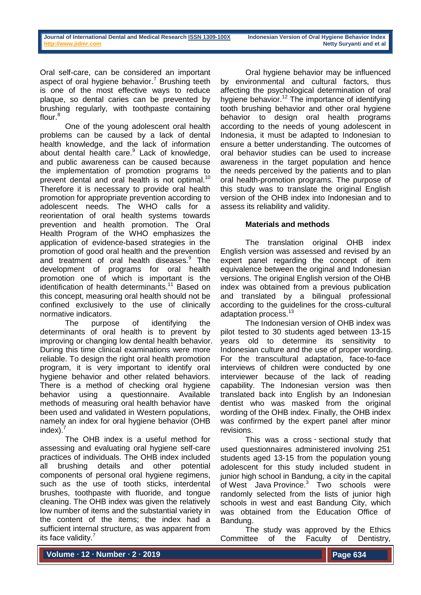Oral self-care, can be considered an important aspect of oral hygiene behavior.<sup>7</sup> Brushing teeth is one of the most effective ways to reduce plaque, so dental caries can be prevented by brushing regularly, with toothpaste containing flour.<sup>8</sup>

One of the young adolescent oral health problems can be caused by a lack of dental health knowledge, and the lack of information about dental health care.<sup>9</sup> Lack of knowledge, and public awareness can be caused because the implementation of promotion programs to prevent dental and oral health is not optimal.<sup>10</sup> Therefore it is necessary to provide oral health promotion for appropriate prevention according to adolescent needs. The WHO calls for a reorientation of oral health systems towards prevention and health promotion. The Oral Health Program of the WHO emphasizes the application of evidence-based strategies in the promotion of good oral health and the prevention and treatment of oral health diseases.<sup>9</sup> The development of programs for oral health promotion one of which is important is the identification of health determinants.<sup>11</sup> Based on this concept, measuring oral health should not be confined exclusively to the use of clinically normative indicators.

The purpose of identifying the determinants of oral health is to prevent by improving or changing low dental health behavior. During this time clinical examinations were more reliable. To design the right oral health promotion program, it is very important to identify oral hygiene behavior and other related behaviors. There is a method of checking oral hygiene behavior using a questionnaire. Available methods of measuring oral health behavior have been used and validated in Western populations, namely an index for oral hygiene behavior (OHB index).

The OHB index is a useful method for assessing and evaluating oral hygiene self-care practices of individuals. The OHB index included all brushing details and other potential components of personal oral hygiene regimens, such as the use of tooth sticks, interdental brushes, toothpaste with fluoride, and tongue cleaning. The OHB index was given the relatively low number of items and the substantial variety in the content of the items; the index had a sufficient internal structure, as was apparent from its face validity.<sup>7</sup>

Oral hygiene behavior may be influenced by environmental and cultural factors, thus affecting the psychological determination of oral hygiene behavior.<sup>12</sup> The importance of identifying tooth brushing behavior and other oral hygiene behavior to design oral health programs according to the needs of young adolescent in Indonesia, it must be adapted to Indonesian to ensure a better understanding. The outcomes of oral behavior studies can be used to increase awareness in the target population and hence the needs perceived by the patients and to plan oral health-promotion programs. The purpose of this study was to translate the original English version of the OHB index into Indonesian and to assess its reliability and validity.

# **Materials and methods**

The translation original OHB index English version was assessed and revised by an expert panel regarding the concept of item equivalence between the original and Indonesian versions. The original English version of the OHB index was obtained from a previous publication and translated by a bilingual professional according to the guidelines for the cross-cultural adaptation process.<sup>13</sup>

The Indonesian version of OHB index was pilot tested to 30 students aged between 13-15 years old to determine its sensitivity to Indonesian culture and the use of proper wording. For the transcultural adaptation, face-to-face interviews of children were conducted by one interviewer because of the lack of reading capability. The Indonesian version was then translated back into English by an Indonesian dentist who was masked from the original wording of the OHB index. Finally, the OHB index was confirmed by the expert panel after minor revisions.

This was a cross ‑ sectional study that used questionnaires administered involving 251 students aged 13-15 from the population young adolescent for this study included student in junior high school in Bandung, a city in the capital of [West Java](https://en.wikipedia.org/wiki/West_Java) Province.<sup>3</sup> Two schools were randomly selected from the lists of junior high schools in west and east Bandung City, which was obtained from the Education Office of Bandung.

The study was approved by the Ethics Committee of the Faculty of Dentistry,

**Volume ∙ 12 ∙ Number ∙ 2 ∙ 2019**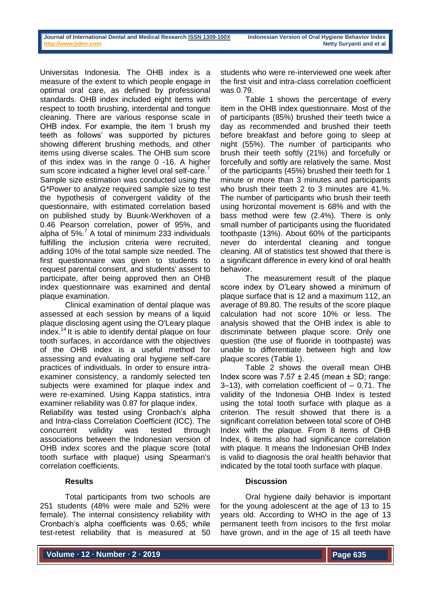Universitas Indonesia. The OHB index is a measure of the extent to which people engage in optimal oral care, as defined by professional standards. OHB index included eight items with respect to tooth brushing, interdental and tongue cleaning. There are various response scale in OHB index. For example, the item 'I brush my teeth as follows' was supported by pictures showing different brushing methods, and other items using diverse scales. The OHB sum score of this index was in the range 0 -16. A higher sum score indicated a higher level oral self-care. Sample size estimation was conducted using the G\*Power to analyze required sample size to test the hypothesis of convergent validity of the questionnaire, with estimated correlation based on published study by Buunk-Werkhoven of a 0.46 Pearson correlation, power of 95%, and alpha of  $5\%$ .<sup>7</sup> A total of minimum 233 individuals fulfilling the inclusion criteria were recruited, adding 10% of the total sample size needed. The first questionnaire was given to students to request parental consent, and students' assent to participate, after being approved then an OHB index questionnaire was examined and dental plaque examination.

Clinical examination of dental plaque was assessed at each session by means of a liquid plaque disclosing agent using the O'Leary plaque index.<sup>14</sup> It is able to identify dental plaque on four tooth surfaces, in accordance with the objectives of the OHB index is a useful method for assessing and evaluating oral hygiene self-care practices of individuals. In order to ensure intraexaminer consistency, a randomly selected ten subjects were examined for plaque index and were re-examined. Using Kappa statistics, intra examiner reliability was 0.87 for plaque index.

Reliability was tested using Cronbach's alpha and Intra-class Correlation Coefficient (ICC). The concurrent validity was tested through associations between the Indonesian version of OHB index scores and the plaque score (total tooth surface with plaque) using Spearman's correlation coefficients.

# **Results**

Total participants from two schools are 251 students (48% were male and 52% were female). The internal consistency reliability with Cronbach's alpha coefficients was 0.65; while test-retest reliability that is measured at 50

students who were re-interviewed one week after the first visit and intra-class correlation coefficient was 0.79.

Table 1 shows the percentage of every item in the OHB index questionnaire. Most of the of participants (85%) brushed their teeth twice a day as recommended and brushed their teeth before breakfast and before going to sleep at night (55%). The number of participants who brush their teeth softly (21%) and forcefully or forcefully and softly are relatively the same. Most of the participants (45%) brushed their teeth for 1 minute or more than 3 minutes and participants who brush their teeth 2 to 3 minutes are 41.%. The number of participants who brush their teeth using horizontal movement is 68% and with the bass method were few (2.4%). There is only small number of participants using the fluoridated toothpaste (13%). About 60% of the participants never do interdental cleaning and tongue cleaning. All of statistics test showed that there is a significant difference in every kind of oral health behavior.

The measurement result of the plaque score index by O'Leary showed a minimum of plaque surface that is 12 and a maximum 112, an average of 89.80. The results of the score plaque calculation had not score 10% or less. The analysis showed that the OHB index is able to discriminate between plaque score. Only one question (the use of fluoride in toothpaste) was unable to differentiate between high and low plaque scores (Table 1).

Table 2 shows the overall mean OHB Index score was  $7.57 \pm 2.45$  (mean  $\pm$  SD; range:  $3-13$ ), with correlation coefficient of  $-0.71$ . The validity of the Indonesia OHB Index is tested using the total tooth surface with plaque as a criterion. The result showed that there is a significant correlation between total score of OHB Index with the plaque. From 8 items of OHB Index, 6 items also had significance correlation with plaque. It means the Indonesian OHB Index is valid to diagnosis the oral health behavior that indicated by the total tooth surface with plaque.

# **Discussion**

Oral hygiene daily behavior is important for the young adolescent at the age of 13 to 15 years old. According to WHO in the age of 13 permanent teeth from incisors to the first molar have grown, and in the age of 15 all teeth have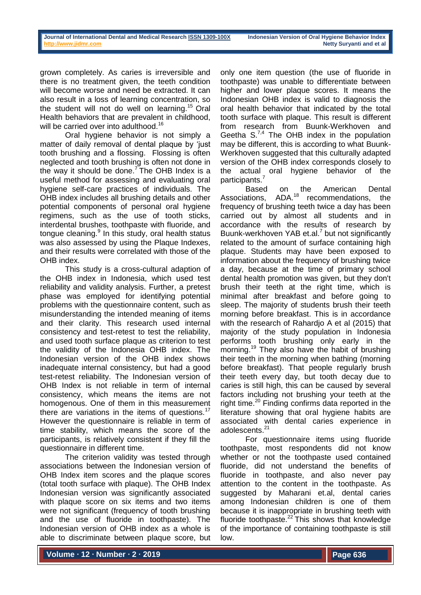grown completely. As caries is irreversible and there is no treatment given, the teeth condition will become worse and need be extracted. It can also result in a loss of learning concentration, so the student will not do well on learning.<sup>15</sup> Oral Health behaviors that are prevalent in childhood, will be carried over into adulthood.<sup>16</sup>

Oral hygiene behavior is not simply a matter of daily removal of dental plaque by 'just tooth brushing and a flossing. Flossing is often neglected and tooth brushing is often not done in the way it should be done.<sup>7</sup> The OHB Index is a useful method for assessing and evaluating oral hygiene self-care practices of individuals. The OHB index includes all brushing details and other potential components of personal oral hygiene regimens, such as the use of tooth sticks, interdental brushes, toothpaste with fluoride, and tongue cleaning.<sup>9</sup> In this study, oral health status was also assessed by using the Plaque Indexes, and their results were correlated with those of the OHB index.

This study is a cross-cultural adaption of the OHB index in Indonesia, which used test reliability and validity analysis. Further, a pretest phase was employed for identifying potential problems with the questionnaire content, such as misunderstanding the intended meaning of items and their clarity. This research used internal consistency and test-retest to test the reliability, and used tooth surface plaque as criterion to test the validity of the Indonesia OHB index. The Indonesian version of the OHB index shows inadequate internal consistency, but had a good test-retest reliability. The Indonesian version of OHB Index is not reliable in term of internal consistency, which means the items are not homogenous. One of them in this measurement there are variations in the items of questions.<sup>17</sup> However the questionnaire is reliable in term of time stability, which means the score of the participants, is relatively consistent if they fill the questionnaire in different time.

The criterion validity was tested through associations between the Indonesian version of OHB Index item scores and the plaque scores (total tooth surface with plaque). The OHB Index Indonesian version was significantly associated with plaque score on six items and two items were not significant (frequency of tooth brushing and the use of fluoride in toothpaste). The Indonesian version of OHB index as a whole is able to discriminate between plaque score, but

only one item question (the use of fluoride in toothpaste) was unable to differentiate between higher and lower plaque scores. It means the Indonesian OHB index is valid to diagnosis the oral health behavior that indicated by the total tooth surface with plaque. This result is different from research from Buunk-Werkhoven and Geetha  $S^{7,4}$  The OHB index in the population may be different, this is according to what Buunk-Werkhoven suggested that this culturally adapted version of the OHB index corresponds closely to the actual oral hygiene behavior of the participants.<sup>7</sup>

Based on the American Dental Associations,  $ADA<sup>18</sup>$  recommendations, the frequency of brushing teeth twice a day has been carried out by almost all students and in accordance with the results of research by Buunk-werkhoven YAB et.al.<sup>7</sup> but not significantly related to the amount of surface containing high plaque. Students may have been exposed to information about the frequency of brushing twice a day, because at the time of primary school dental health promotion was given, but they don't brush their teeth at the right time, which is minimal after breakfast and before going to sleep. The majority of students brush their teeth morning before breakfast. This is in accordance with the research of Rahardjo A et al (2015) that majority of the study population in Indonesia performs tooth brushing only early in the morning. <sup>19</sup> They also have the habit of brushing their teeth in the morning when bathing (morning before breakfast). That people regularly brush their teeth every day, but tooth decay due to caries is still high, this can be caused by several factors including not brushing your teeth at the right time. $^{20}$  Finding confirms data reported in the literature showing that oral hygiene habits are associated with dental caries experience in adolescents.<sup>21</sup>

For questionnaire items using fluoride toothpaste, most respondents did not know whether or not the toothpaste used contained fluoride, did not understand the benefits of fluoride in toothpaste, and also never pay attention to the content in the toothpaste. As suggested by Maharani et.al, dental caries among Indonesian children is one of them because it is inappropriate in brushing teeth with fluoride toothpaste. $22$  This shows that knowledge of the importance of containing toothpaste is still low.

**Volume ∙ 12 ∙ Number ∙ 2 ∙ 2019**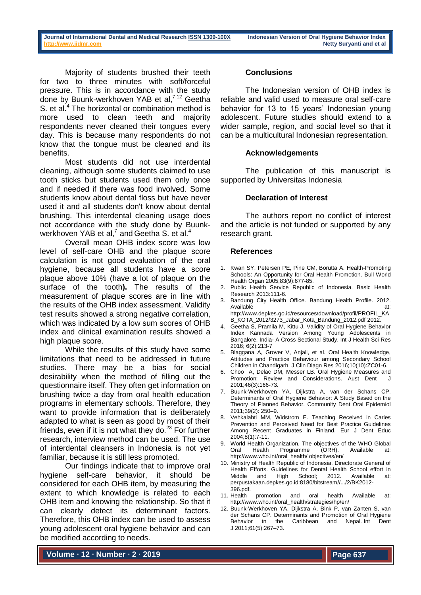Majority of students brushed their teeth for two to three minutes with soft/forceful pressure. This is in accordance with the study done by Buunk-werkhoven YAB et al,<sup>7,12</sup> Geetha S. et al.<sup>4</sup> The horizontal or combination method is more used to clean teeth and majority respondents never cleaned their tongues every day. This is because many respondents do not know that the tongue must be cleaned and its benefits.

Most students did not use interdental cleaning, although some students claimed to use tooth sticks but students used them only once and if needed if there was food involved. Some students know about dental floss but have never used it and all students don't know about dental brushing. This interdental cleaning usage does not accordance with the study done by Buunkwerkhoven YAB et al,<sup>7</sup> and Geetha S. et al.<sup>4</sup>

Overall mean OHB index score was low level of self-care OHB and the plaque score calculation is not good evaluation of the oral hygiene, because all students have a score plaque above 10% (have a lot of plaque on the surface of the tooth**).** The results of the measurement of plaque scores are in line with the results of the OHB index assessment. Validity test results showed a strong negative correlation, which was indicated by a low sum scores of OHB index and clinical examination results showed a high plaque score.

While the results of this study have some limitations that need to be addressed in future studies. There may be a bias for social desirability when the method of filling out the questionnaire itself. They often get information on brushing twice a day from oral health education programs in elementary schools. Therefore, they want to provide information that is deliberately adapted to what is seen as good by most of their friends, even if it is not what they do. $23$  For further research, interview method can be used. The use of interdental cleansers in Indonesia is not yet familiar, because it is still less promoted.

Our findings indicate that to improve oral hygiene self-care behavior, it should be considered for each OHB item, by measuring the extent to which knowledge is related to each OHB item and knowing the relationship. So that it can clearly detect its determinant factors. Therefore, this OHB index can be used to assess young adolescent oral hygiene behavior and can be modified according to needs.

### **Conclusions**

The Indonesian version of OHB index is reliable and valid used to measure oral self-care behavior for 13 to 15 years' Indonesian young adolescent. Future studies should extend to a wider sample, region, and social level so that it can be a multicultural Indonesian representation.

#### **Acknowledgements**

The publication of this manuscript is supported by Universitas Indonesia

### **Declaration of Interest**

The authors report no conflict of interest and the article is not funded or supported by any research grant.

#### **References**

- 1. Kwan SY, Petersen PE, Pine CM, Borutta A. Health-Promoting Schools: An Opportunity for Oral Health Promotion. Bull World Health Organ 2005;83(9):677-85.
- Public Health Service Republic of Indonesia. Basic Health Research 2013:111-6.
- 3. Bandung City Health Office. Bandung Health Profile. 2012. Available at: http://www.depkes.go.id/resources/download/profil/PROFIL\_KA B\_KOTA\_2012/3273\_Jabar\_Kota\_Bandung\_2012.pdf 2012.
- 4. Geetha S, Pramila M, Kittu J. Validity of Oral Hygiene Behavior Index Kannada Version Among Young Adolescents in Bangalore, India- A Cross Sectional Study. Int J Health Sci Res 2016; 6(2):213-7
- 5. Blaggana A, Grover V, Anjali, et al. Oral Health Knowledge, Attitudes and Practice Behaviour among Secondary School Children in Chandigarh. J Clin Diagn Res 2016;10(10):ZC01-6.
- 6. Choo A, Delac DM, Messer LB. Oral Hygiene Measures and Promotion: Review and Considerations. Aust Dent 2001;46(3):166-73.
- 7. Buunk-Werkhoven YA, Dijkstra A, van der Schans CP. Determinants of Oral Hygiene Behavior: A Study Based on the Theory of Planned Behavior. Community Dent Oral Epidemiol 2011;39(2): 250–9.
- 8. Vehkalahti MM, Widstrom E. Teaching Received in Caries Prevention and Perceived Need for Best Practice Guidelines Among Recent Graduates in Finland. Eur J Dent Educ 2004;8(1):7-11.
- 9. World Health Organization. The objectives of the WHO Global Oral Health Programme (ORH). Available at: http://www.who.int/oral\_health/ objectives/en/
- 10. Ministry of Health Republic of Indonesia. Directorate General of Health Efforts. Guidelines for Dental Health School effort in<br>Middle and High School; 2012. Available at: School; perpustakaan.depkes.go.id:8180/bitstream//.../2/BK2012- 396.pdf.
- 11. Health promotion and oral health Available at: [http://www.who.int/oral\\_health/strategies/hp/en/](http://www.who.int/oral_health/strategies/hp/en/)
- 12. Buunk-Werkhoven YA, Dijkstra A, Bink P, van Zanten S, van der Schans CP. Determinants and Promotion of Oral Hygiene Behavior tn the Caribbean and Nepal. Int Dent J 2011;61(5):267–73.

**Volume ∙ 12 ∙ Number ∙ 2 ∙ 2019**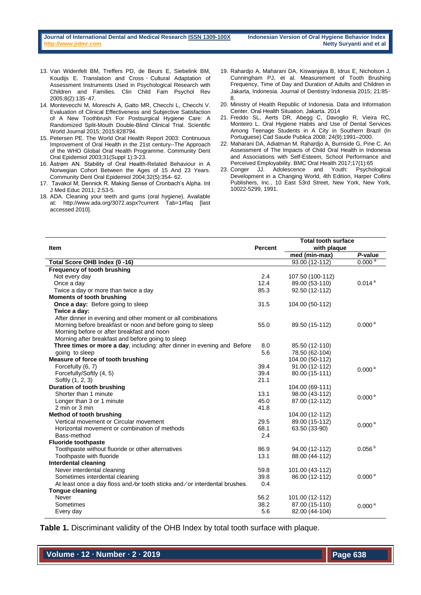- 13. Van Widenfelt BM, Treffers PD, de Beurs E, Siebelink BM, Koudijs E. Translation and Cross ‑ Cultural Adaptation of Assessment Instruments Used in Psychological Research with Children and Families. Clin Child Fam Psychol Rev 2005;8(2):135‑47.
- 14. Montevecchi M, Moreschi A, Gatto MR, Checchi L, Checchi V. Evaluation of Clinical Effectiveness and Subjective Satisfaction of A New Toothbrush For Postsurgical Hygiene Care: A Randomized Split-Mouth Double-Blind Clinical Trial. Scientific World Journal 2015; 2015:828794.
- 15. Petersen PE. The World Oral Health Report 2003: Continuous Improvement of Oral Health in the 21st century--The Approach of the WHO Global Oral Health Programme. Community Dent Oral Epidemiol 2003;31(Suppl 1):3-23.
- 16. Åstrøm AN. Stability of Oral Health-Related Behaviour in A Norwegian Cohort Between the Ages of 15 And 23 Years. Community Dent Oral Epidemiol 2004;32(5):354- 62.
- 17. Tavakol M, Dennick R. Making Sense of Cronbach's Alpha. Int J Med Educ 2011; 2:53-5.
- 18. ADA. Cleaning your teeth and gums (oral hygiene). Available at: http://www.ada.org/3072.aspx?current Tab=1#faq [last accessed 2010].
- 19. Rahardjo A, Maharani DA, Kiswanjaya B, Idrus E, Nicholson J, Cunningham PJ, et al. Measurement of Tooth Brushing Frequency, Time of Day and Duration of Adults and Children in Jakarta, Indonesia. Journal of Dentistry Indonesia 2015; 21:85‑ 8.
- 20. Ministry of Health Republic of Indonesia. Data and Information Center. Oral Health Situation. Jakarta. 2014
- 21. Freddo SL, Aerts DR, Abegg C, Davoglio R, Vieira RC, Monteiro L. Oral Hygiene Habits and Use of Dental Services Among Teenage Students in A City in Southern Brazil (In Portuguese) Cad Saude Publica 2008; 24(9):1991–2000.
- 22. Maharani DA, Adiatman M, Rahardjo A, Burnside G, Pine C. An Assessment of The Impacts of Child Oral Health in Indonesia and Associations with Self-Esteem, School Performance and Perceived Employability. BMC Oral Health 2017;17(1):65
- 23. Conger JJ. Adolescence and Youth: Psychological Development in a Changing World, 4th Edition, Harper Collins Publishers, Inc., 10 East 53rd Street, New York, New York, 10022-5299, 1991.

|                                                                           |                | <b>Total tooth surface</b> |                    |
|---------------------------------------------------------------------------|----------------|----------------------------|--------------------|
| <b>Item</b>                                                               | <b>Percent</b> | with plaque                |                    |
|                                                                           |                | med (min-max)              | P-value            |
| Total Score OHB Index (0-16)                                              |                | 93.00 (12-112)             | 0.000 <sup>a</sup> |
| Frequency of tooth brushing                                               |                |                            |                    |
| Not every day                                                             | 2.4            | 107.50 (100-112)           |                    |
| Once a day                                                                | 12.4           | 89.00 (53-110)             | 0.014 <sup>a</sup> |
| Twice a day or more than twice a day                                      | 85.3           | 92.50 (12-112)             |                    |
| <b>Moments of tooth brushing</b>                                          |                |                            |                    |
| Once a day: Before going to sleep                                         | 31.5           | 104.00 (50-112)            |                    |
| Twice a day:                                                              |                |                            |                    |
| After dinner in evening and other moment or all combinations              |                |                            |                    |
| Morning before breakfast or noon and before going to sleep                | 55.0           | 89.50 (15-112)             | 0.000 <sup>a</sup> |
| Morning before or after breakfast and noon                                |                |                            |                    |
| Morning after breakfast and before going to sleep                         |                |                            |                    |
| Three times or more a day, including: after dinner in evening and Before  | 8.0            | 85.50 (12-110)             |                    |
| going to sleep                                                            | 5.6            | 78.50 (62-104)             |                    |
| Measure of force of tooth brushing                                        |                | 104.00 (50-112)            |                    |
| Forcefully (6, 7)                                                         | 39.4           | 91.00 (12-112)             | 0.000 <sup>a</sup> |
| Forcefully/Softly (4, 5)                                                  | 39.4           | 80.00 (15-111)             |                    |
| Softly (1, 2, 3)                                                          | 21.1           |                            |                    |
| Duration of tooth brushing                                                |                | 104.00 (69-111)            |                    |
| Shorter than 1 minute                                                     | 13.1           | 98.00 (43-112)             | 0.000 <sup>a</sup> |
| Longer than 3 or 1 minute                                                 | 45.0           | 87.00 (12-112)             |                    |
| 2 min or 3 min                                                            | 41.8           |                            |                    |
| Method of tooth brushing                                                  |                | 104.00 (12-112)            |                    |
| Vertical movement or Circular movement                                    | 29.5           | 89.00 (15-112)             | 0.000 <sup>a</sup> |
| Horizontal movement or combination of methods                             | 68.1           | 63.50 (33-90)              |                    |
| Bass-method                                                               | 2.4            |                            |                    |
| <b>Fluoride toothpaste</b>                                                |                |                            |                    |
| Toothpaste without fluoride or other alternatives                         | 86.9           | 94.00 (12-112)             | 0.056 <sup>b</sup> |
| Toothpaste with fluoride                                                  | 13.1           | 88.00 (44-112)             |                    |
| Interdental cleaning                                                      |                |                            |                    |
| Never interdental cleaning                                                | 59.8           | 101.00 (43-112)            |                    |
| Sometimes interdental cleaning                                            | 39.8           | 86.00 (12-112)             | 0.000 <sup>a</sup> |
| At least once a day floss and/or tooth sticks and/or interdental brushes. | 0.4            |                            |                    |
| <b>Tongue cleaning</b>                                                    |                |                            |                    |
| Never                                                                     | 56.2           | 101.00 (12-112)            |                    |
| Sometimes                                                                 | 38.2           | 87.00 (15-110)             | 0.000 <sup>a</sup> |
| Every day                                                                 | 5.6            | 82.00 (44-104)             |                    |

**Table 1.** Discriminant validity of the OHB Index by total tooth surface with plaque.